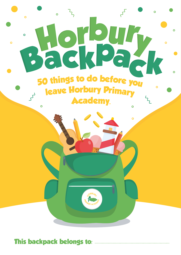

**This backpack belongs to:**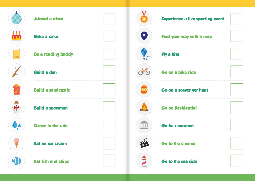![](_page_1_Figure_0.jpeg)

![](_page_1_Figure_1.jpeg)

![](_page_1_Figure_2.jpeg)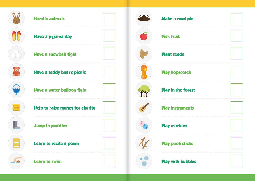![](_page_2_Figure_0.jpeg)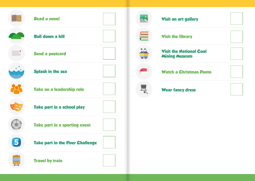![](_page_3_Figure_0.jpeg)

![](_page_3_Figure_1.jpeg)

![](_page_3_Figure_2.jpeg)

![](_page_3_Figure_3.jpeg)